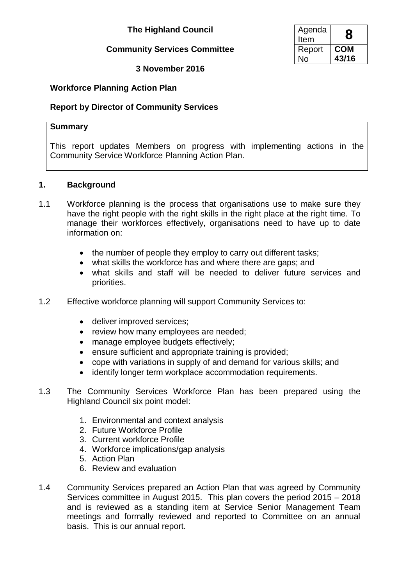# **The Highland Council**

## **Community Services Committee**

## **3 November 2016**

## **Workforce Planning Action Plan**

## **Report by Director of Community Services**

#### **Summary**

This report updates Members on progress with implementing actions in the Community Service Workforce Planning Action Plan.

### **1. Background**

- 1.1 Workforce planning is the process that organisations use to make sure they have the right people with the right skills in the right place at the right time. To manage their workforces effectively, organisations need to have up to date information on:
	- the number of people they employ to carry out different tasks;
	- what skills the workforce has and where there are gaps; and
	- what skills and staff will be needed to deliver future services and priorities.
- 1.2 Effective workforce planning will support Community Services to:
	- deliver improved services;
	- review how many employees are needed;
	- manage employee budgets effectively;
	- ensure sufficient and appropriate training is provided;
	- cope with variations in supply of and demand for various skills; and
	- identify longer term workplace accommodation requirements.
- 1.3 The Community Services Workforce Plan has been prepared using the Highland Council six point model:
	- 1. Environmental and context analysis
	- 2. Future Workforce Profile
	- 3. Current workforce Profile
	- 4. Workforce implications/gap analysis
	- 5. Action Plan
	- 6. Review and evaluation
- 1.4 Community Services prepared an Action Plan that was agreed by Community Services committee in August 2015. This plan covers the period 2015 – 2018 and is reviewed as a standing item at Service Senior Management Team meetings and formally reviewed and reported to Committee on an annual basis. This is our annual report.

| Agenda<br>Item |       |
|----------------|-------|
| Report         | COM   |
| ง∩             | 43/16 |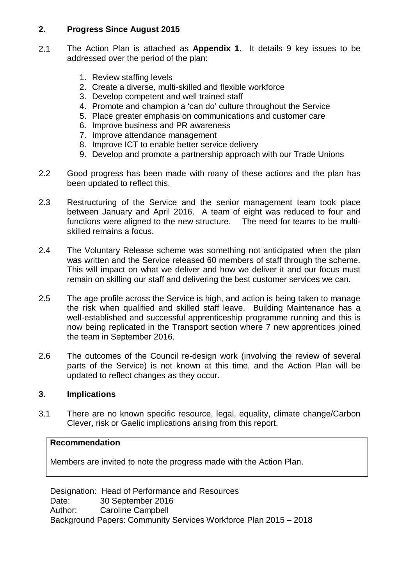## **2. Progress Since August 2015**

- 2.1 The Action Plan is attached as **Appendix 1**. It details 9 key issues to be addressed over the period of the plan:
	- 1. Review staffing levels
	- 2. Create a diverse, multi-skilled and flexible workforce
	- 3. Develop competent and well trained staff
	- 4. Promote and champion a 'can do' culture throughout the Service
	- 5. Place greater emphasis on communications and customer care
	- 6. Improve business and PR awareness
	- 7. Improve attendance management
	- 8. Improve ICT to enable better service delivery
	- 9. Develop and promote a partnership approach with our Trade Unions
- 2.2 Good progress has been made with many of these actions and the plan has been updated to reflect this.
- 2.3 Restructuring of the Service and the senior management team took place between January and April 2016. A team of eight was reduced to four and functions were aligned to the new structure. The need for teams to be multiskilled remains a focus.
- 2.4 The Voluntary Release scheme was something not anticipated when the plan was written and the Service released 60 members of staff through the scheme. This will impact on what we deliver and how we deliver it and our focus must remain on skilling our staff and delivering the best customer services we can.
- 2.5 The age profile across the Service is high, and action is being taken to manage the risk when qualified and skilled staff leave. Building Maintenance has a well-established and successful apprenticeship programme running and this is now being replicated in the Transport section where 7 new apprentices joined the team in September 2016.
- 2.6 The outcomes of the Council re-design work (involving the review of several parts of the Service) is not known at this time, and the Action Plan will be updated to reflect changes as they occur.

## **3. Implications**

3.1 There are no known specific resource, legal, equality, climate change/Carbon Clever, risk or Gaelic implications arising from this report.

### **Recommendation**

Members are invited to note the progress made with the Action Plan.

Designation: Head of Performance and Resources Date: 30 September 2016 Author: Caroline Campbell Background Papers: Community Services Workforce Plan 2015 – 2018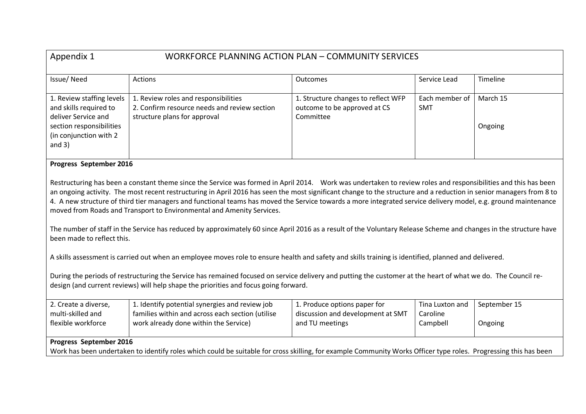| Appendix 1<br>WORKFORCE PLANNING ACTION PLAN - COMMUNITY SERVICES                                                                                                                                                                                                                                                                                                                                                                                                                                                                                                                                                                                                                                                                                                                   |                                                                                           |                                                                     |                              |              |
|-------------------------------------------------------------------------------------------------------------------------------------------------------------------------------------------------------------------------------------------------------------------------------------------------------------------------------------------------------------------------------------------------------------------------------------------------------------------------------------------------------------------------------------------------------------------------------------------------------------------------------------------------------------------------------------------------------------------------------------------------------------------------------------|-------------------------------------------------------------------------------------------|---------------------------------------------------------------------|------------------------------|--------------|
| Issue/Need                                                                                                                                                                                                                                                                                                                                                                                                                                                                                                                                                                                                                                                                                                                                                                          | Actions                                                                                   | Outcomes                                                            | Service Lead                 | Timeline     |
| 1. Review staffing levels<br>and skills required to                                                                                                                                                                                                                                                                                                                                                                                                                                                                                                                                                                                                                                                                                                                                 | 1. Review roles and responsibilities<br>2. Confirm resource needs and review section      | 1. Structure changes to reflect WFP<br>outcome to be approved at CS | Each member of<br><b>SMT</b> | March 15     |
| deliver Service and<br>section responsibilities<br>(in conjunction with 2<br>and $3)$                                                                                                                                                                                                                                                                                                                                                                                                                                                                                                                                                                                                                                                                                               | structure plans for approval                                                              | Committee                                                           |                              | Ongoing      |
| Progress September 2016                                                                                                                                                                                                                                                                                                                                                                                                                                                                                                                                                                                                                                                                                                                                                             |                                                                                           |                                                                     |                              |              |
| Restructuring has been a constant theme since the Service was formed in April 2014. Work was undertaken to review roles and responsibilities and this has been<br>an ongoing activity. The most recent restructuring in April 2016 has seen the most significant change to the structure and a reduction in senior managers from 8 to<br>4. A new structure of third tier managers and functional teams has moved the Service towards a more integrated service delivery model, e.g. ground maintenance<br>moved from Roads and Transport to Environmental and Amenity Services.<br>The number of staff in the Service has reduced by approximately 60 since April 2016 as a result of the Voluntary Release Scheme and changes in the structure have<br>been made to reflect this. |                                                                                           |                                                                     |                              |              |
| A skills assessment is carried out when an employee moves role to ensure health and safety and skills training is identified, planned and delivered.                                                                                                                                                                                                                                                                                                                                                                                                                                                                                                                                                                                                                                |                                                                                           |                                                                     |                              |              |
| During the periods of restructuring the Service has remained focused on service delivery and putting the customer at the heart of what we do. The Council re-<br>design (and current reviews) will help shape the priorities and focus going forward.                                                                                                                                                                                                                                                                                                                                                                                                                                                                                                                               |                                                                                           |                                                                     |                              |              |
| 2. Create a diverse,                                                                                                                                                                                                                                                                                                                                                                                                                                                                                                                                                                                                                                                                                                                                                                | 1. Identify potential synergies and review job                                            | 1. Produce options paper for                                        | Tina Luxton and              | September 15 |
| multi-skilled and<br>flexible workforce                                                                                                                                                                                                                                                                                                                                                                                                                                                                                                                                                                                                                                                                                                                                             | families within and across each section (utilise<br>work already done within the Service) | discussion and development at SMT<br>and TU meetings                | Caroline<br>Campbell         | Ongoing      |
| Progress September 2016                                                                                                                                                                                                                                                                                                                                                                                                                                                                                                                                                                                                                                                                                                                                                             |                                                                                           |                                                                     |                              |              |
| Work has been undertaken to identify roles which could be suitable for cross skilling, for example Community Works Officer type roles. Progressing this has been                                                                                                                                                                                                                                                                                                                                                                                                                                                                                                                                                                                                                    |                                                                                           |                                                                     |                              |              |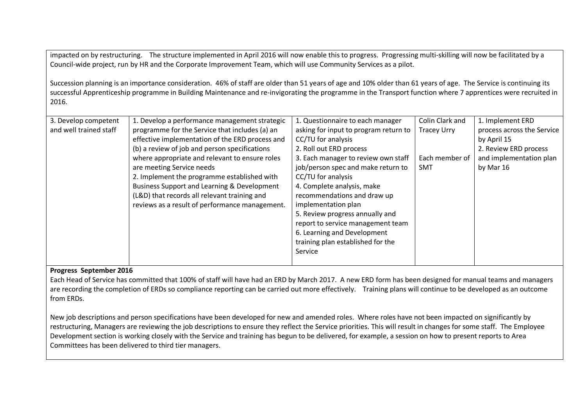impacted on by restructuring. The structure implemented in April 2016 will now enable this to progress. Progressing multi-skilling will now be facilitated by a Council-wide project, run by HR and the Corporate Improvement Team, which will use Community Services as a pilot.

Succession planning is an importance consideration. 46% of staff are older than 51 years of age and 10% older than 61 years of age. The Service is continuing its successful Apprenticeship programme in Building Maintenance and re-invigorating the programme in the Transport function where 7 apprentices were recruited in 2016.

| 3. Develop competent   | 1. Develop a performance management strategic          | 1. Questionnaire to each manager      | Colin Clark and    | 1. Implement ERD           |
|------------------------|--------------------------------------------------------|---------------------------------------|--------------------|----------------------------|
| and well trained staff | programme for the Service that includes (a) an         | asking for input to program return to | <b>Tracey Urry</b> | process across the Service |
|                        | effective implementation of the ERD process and        | CC/TU for analysis                    |                    | by April 15                |
|                        | (b) a review of job and person specifications          | 2. Roll out ERD process               |                    | 2. Review ERD process      |
|                        | where appropriate and relevant to ensure roles         | 3. Each manager to review own staff   | Each member of     | and implementation plan    |
|                        | are meeting Service needs                              | job/person spec and make return to    | <b>SMT</b>         | by Mar 16                  |
|                        | 2. Implement the programme established with            | CC/TU for analysis                    |                    |                            |
|                        | <b>Business Support and Learning &amp; Development</b> | 4. Complete analysis, make            |                    |                            |
|                        | (L&D) that records all relevant training and           | recommendations and draw up           |                    |                            |
|                        | reviews as a result of performance management.         | implementation plan                   |                    |                            |
|                        |                                                        | 5. Review progress annually and       |                    |                            |
|                        |                                                        | report to service management team     |                    |                            |
|                        |                                                        | 6. Learning and Development           |                    |                            |
|                        |                                                        | training plan established for the     |                    |                            |
|                        |                                                        | Service                               |                    |                            |
|                        |                                                        |                                       |                    |                            |

#### **Progress September 2016**

Each Head of Service has committed that 100% of staff will have had an ERD by March 2017. A new ERD form has been designed for manual teams and managers are recording the completion of ERDs so compliance reporting can be carried out more effectively. Training plans will continue to be developed as an outcome from ERDs.

New job descriptions and person specifications have been developed for new and amended roles. Where roles have not been impacted on significantly by restructuring, Managers are reviewing the job descriptions to ensure they reflect the Service priorities. This will result in changes for some staff. The Employee Development section is working closely with the Service and training has begun to be delivered, for example, a session on how to present reports to Area Committees has been delivered to third tier managers.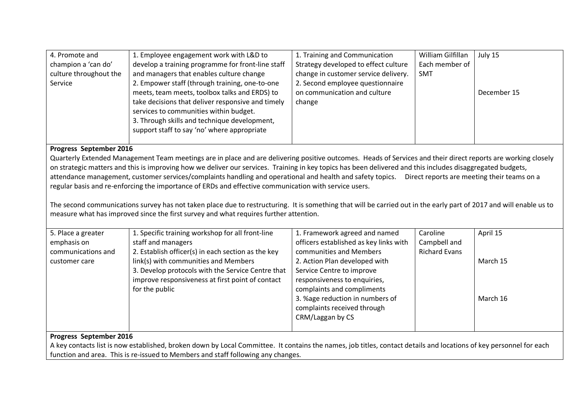| 4. Promote and<br>champion a 'can do'<br>culture throughout the<br>Service                                                                                                                                                                                                                                                                                                                                                                                                                                                                                                                                                                                                                                                                                                                                                                                                                | 1. Employee engagement work with L&D to<br>develop a training programme for front-line staff<br>and managers that enables culture change<br>2. Empower staff (through training, one-to-one<br>meets, team meets, toolbox talks and ERDS) to<br>take decisions that deliver responsive and timely<br>services to communities within budget.<br>3. Through skills and technique development,<br>support staff to say 'no' where appropriate | 1. Training and Communication<br>Strategy developed to effect culture<br>change in customer service delivery.<br>2. Second employee questionnaire<br>on communication and culture<br>change                    | William Gilfillan<br>Each member of<br><b>SMT</b> | July 15<br>December 15 |  |
|-------------------------------------------------------------------------------------------------------------------------------------------------------------------------------------------------------------------------------------------------------------------------------------------------------------------------------------------------------------------------------------------------------------------------------------------------------------------------------------------------------------------------------------------------------------------------------------------------------------------------------------------------------------------------------------------------------------------------------------------------------------------------------------------------------------------------------------------------------------------------------------------|-------------------------------------------------------------------------------------------------------------------------------------------------------------------------------------------------------------------------------------------------------------------------------------------------------------------------------------------------------------------------------------------------------------------------------------------|----------------------------------------------------------------------------------------------------------------------------------------------------------------------------------------------------------------|---------------------------------------------------|------------------------|--|
|                                                                                                                                                                                                                                                                                                                                                                                                                                                                                                                                                                                                                                                                                                                                                                                                                                                                                           |                                                                                                                                                                                                                                                                                                                                                                                                                                           |                                                                                                                                                                                                                |                                                   |                        |  |
| Progress September 2016<br>Quarterly Extended Management Team meetings are in place and are delivering positive outcomes. Heads of Services and their direct reports are working closely<br>on strategic matters and this is improving how we deliver our services. Training in key topics has been delivered and this includes disaggregated budgets,<br>attendance management, customer services/complaints handling and operational and health and safety topics. Direct reports are meeting their teams on a<br>regular basis and re-enforcing the importance of ERDs and effective communication with service users.<br>The second communications survey has not taken place due to restructuring. It is something that will be carried out in the early part of 2017 and will enable us to<br>measure what has improved since the first survey and what requires further attention. |                                                                                                                                                                                                                                                                                                                                                                                                                                           |                                                                                                                                                                                                                |                                                   |                        |  |
| 5. Place a greater<br>emphasis on<br>communications and                                                                                                                                                                                                                                                                                                                                                                                                                                                                                                                                                                                                                                                                                                                                                                                                                                   | 1. Specific training workshop for all front-line<br>staff and managers<br>2. Establish officer(s) in each section as the key                                                                                                                                                                                                                                                                                                              | 1. Framework agreed and named<br>officers established as key links with<br>communities and Members                                                                                                             | Caroline<br>Campbell and<br><b>Richard Evans</b>  | April 15               |  |
| customer care                                                                                                                                                                                                                                                                                                                                                                                                                                                                                                                                                                                                                                                                                                                                                                                                                                                                             | link(s) with communities and Members<br>3. Develop protocols with the Service Centre that<br>improve responsiveness at first point of contact<br>for the public                                                                                                                                                                                                                                                                           | 2. Action Plan developed with<br>Service Centre to improve<br>responsiveness to enquiries,<br>complaints and compliments<br>3. %age reduction in numbers of<br>complaints received through<br>CRM/Laggan by CS |                                                   | March 15<br>March 16   |  |
| Progress September 2016                                                                                                                                                                                                                                                                                                                                                                                                                                                                                                                                                                                                                                                                                                                                                                                                                                                                   |                                                                                                                                                                                                                                                                                                                                                                                                                                           |                                                                                                                                                                                                                |                                                   |                        |  |

A key contacts list is now established, broken down by Local Committee. It contains the names, job titles, contact details and locations of key personnel for each function and area. This is re-issued to Members and staff following any changes.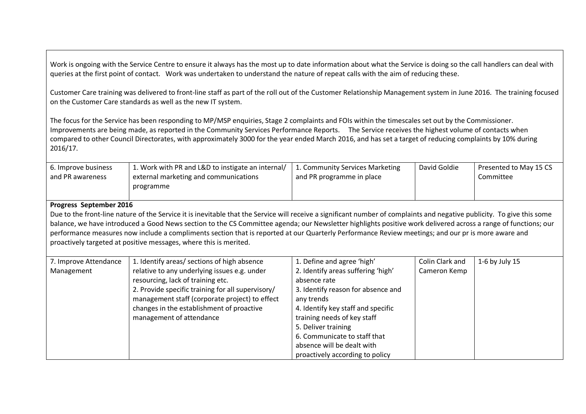Work is ongoing with the Service Centre to ensure it always has the most up to date information about what the Service is doing so the call handlers can deal with queries at the first point of contact. Work was undertaken to understand the nature of repeat calls with the aim of reducing these.

Customer Care training was delivered to front-line staff as part of the roll out of the Customer Relationship Management system in June 2016. The training focused on the Customer Care standards as well as the new IT system.

The focus for the Service has been responding to MP/MSP enquiries, Stage 2 complaints and FOIs within the timescales set out by the Commissioner. Improvements are being made, as reported in the Community Services Performance Reports. The Service receives the highest volume of contacts when compared to other Council Directorates, with approximately 3000 for the year ended March 2016, and has set a target of reducing complaints by 10% during 2016/17.

| 6. Improve business<br>and PR awareness                                                                                                                                                                                                                                                                                                                                                                                                                                                                                                                              | 1. Work with PR and L&D to instigate an internal/<br>external marketing and communications<br>programme                                                                                                                                                                                                          | 1. Community Services Marketing<br>and PR programme in place                                                                                                                                                                                                                                                                      | David Goldie                    | Presented to May 15 CS<br>Committee |
|----------------------------------------------------------------------------------------------------------------------------------------------------------------------------------------------------------------------------------------------------------------------------------------------------------------------------------------------------------------------------------------------------------------------------------------------------------------------------------------------------------------------------------------------------------------------|------------------------------------------------------------------------------------------------------------------------------------------------------------------------------------------------------------------------------------------------------------------------------------------------------------------|-----------------------------------------------------------------------------------------------------------------------------------------------------------------------------------------------------------------------------------------------------------------------------------------------------------------------------------|---------------------------------|-------------------------------------|
| Progress September 2016                                                                                                                                                                                                                                                                                                                                                                                                                                                                                                                                              |                                                                                                                                                                                                                                                                                                                  |                                                                                                                                                                                                                                                                                                                                   |                                 |                                     |
| Due to the front-line nature of the Service it is inevitable that the Service will receive a significant number of complaints and negative publicity. To give this some<br>balance, we have introduced a Good News section to the CS Committee agenda; our Newsletter highlights positive work delivered across a range of functions; our<br>performance measures now include a compliments section that is reported at our Quarterly Performance Review meetings; and our pr is more aware and<br>proactively targeted at positive messages, where this is merited. |                                                                                                                                                                                                                                                                                                                  |                                                                                                                                                                                                                                                                                                                                   |                                 |                                     |
| 7. Improve Attendance<br>Management                                                                                                                                                                                                                                                                                                                                                                                                                                                                                                                                  | 1. Identify areas/ sections of high absence<br>relative to any underlying issues e.g. under<br>resourcing, lack of training etc.<br>2. Provide specific training for all supervisory/<br>management staff (corporate project) to effect<br>changes in the establishment of proactive<br>management of attendance | 1. Define and agree 'high'<br>2. Identify areas suffering 'high'<br>absence rate<br>3. Identify reason for absence and<br>any trends<br>4. Identify key staff and specific<br>training needs of key staff<br>5. Deliver training<br>6. Communicate to staff that<br>absence will be dealt with<br>proactively according to policy | Colin Clark and<br>Cameron Kemp | 1-6 by July 15                      |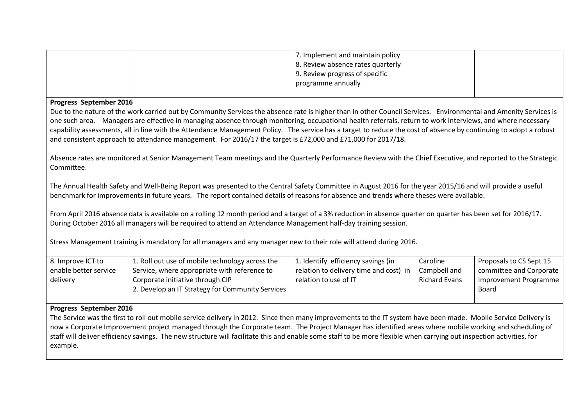|                                                                                                                                                                                                                                                                                                       |                                                                                                                                                                   | 7. Implement and maintain policy<br>8. Review absence rates quarterly<br>9. Review progress of specific<br>programme annually |                      |                              |
|-------------------------------------------------------------------------------------------------------------------------------------------------------------------------------------------------------------------------------------------------------------------------------------------------------|-------------------------------------------------------------------------------------------------------------------------------------------------------------------|-------------------------------------------------------------------------------------------------------------------------------|----------------------|------------------------------|
| Progress September 2016                                                                                                                                                                                                                                                                               |                                                                                                                                                                   |                                                                                                                               |                      |                              |
|                                                                                                                                                                                                                                                                                                       | Due to the nature of the work carried out by Community Services the absence rate is higher than in other Council Services. Environmental and Amenity Services is  |                                                                                                                               |                      |                              |
|                                                                                                                                                                                                                                                                                                       | one such area. Managers are effective in managing absence through monitoring, occupational health referrals, return to work interviews, and where necessary       |                                                                                                                               |                      |                              |
|                                                                                                                                                                                                                                                                                                       | capability assessments, all in line with the Attendance Management Policy. The service has a target to reduce the cost of absence by continuing to adopt a robust |                                                                                                                               |                      |                              |
|                                                                                                                                                                                                                                                                                                       | and consistent approach to attendance management. For 2016/17 the target is £72,000 and £71,000 for 2017/18.                                                      |                                                                                                                               |                      |                              |
|                                                                                                                                                                                                                                                                                                       |                                                                                                                                                                   |                                                                                                                               |                      |                              |
| Committee.                                                                                                                                                                                                                                                                                            | Absence rates are monitored at Senior Management Team meetings and the Quarterly Performance Review with the Chief Executive, and reported to the Strategic       |                                                                                                                               |                      |                              |
| The Annual Health Safety and Well-Being Report was presented to the Central Safety Committee in August 2016 for the year 2015/16 and will provide a useful<br>benchmark for improvements in future years. The report contained details of reasons for absence and trends where theses were available. |                                                                                                                                                                   |                                                                                                                               |                      |                              |
| From April 2016 absence data is available on a rolling 12 month period and a target of a 3% reduction in absence quarter on quarter has been set for 2016/17.<br>During October 2016 all managers will be required to attend an Attendance Management half-day training session.                      |                                                                                                                                                                   |                                                                                                                               |                      |                              |
| Stress Management training is mandatory for all managers and any manager new to their role will attend during 2016.                                                                                                                                                                                   |                                                                                                                                                                   |                                                                                                                               |                      |                              |
| 8. Improve ICT to                                                                                                                                                                                                                                                                                     | 1. Roll out use of mobile technology across the                                                                                                                   | 1. Identify efficiency savings (in                                                                                            | Caroline             | Proposals to CS Sept 15      |
| enable better service                                                                                                                                                                                                                                                                                 | Service, where appropriate with reference to                                                                                                                      | relation to delivery time and cost) in                                                                                        | Campbell and         | committee and Corporate      |
| delivery                                                                                                                                                                                                                                                                                              | Corporate initiative through CIP                                                                                                                                  | relation to use of IT                                                                                                         | <b>Richard Evans</b> | <b>Improvement Programme</b> |
|                                                                                                                                                                                                                                                                                                       | 2. Develop an IT Strategy for Community Services                                                                                                                  |                                                                                                                               |                      | Board                        |
|                                                                                                                                                                                                                                                                                                       |                                                                                                                                                                   |                                                                                                                               |                      |                              |

#### **Progress September 2016**

The Service was the first to roll out mobile service delivery in 2012. Since then many improvements to the IT system have been made. Mobile Service Delivery is now a Corporate Improvement project managed through the Corporate team. The Project Manager has identified areas where mobile working and scheduling of staff will deliver efficiency savings. The new structure will facilitate this and enable some staff to be more flexible when carrying out inspection activities, for example.